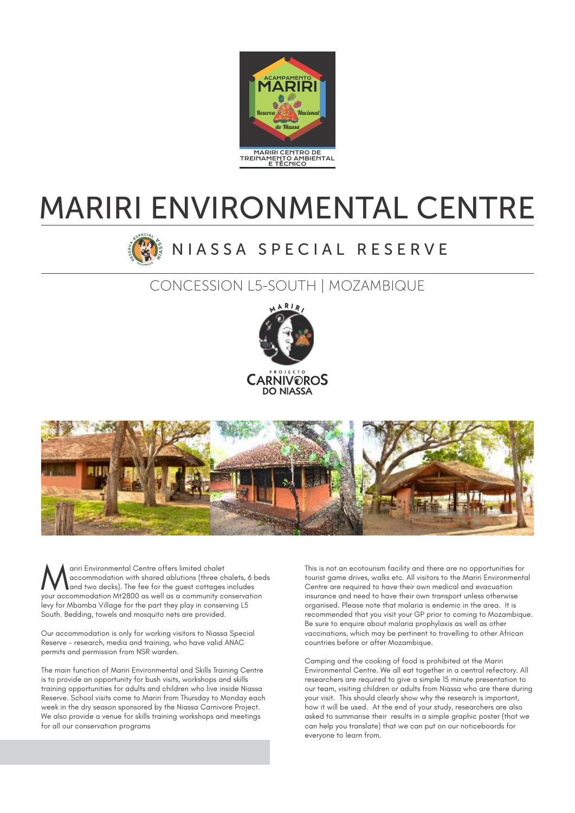

# MARIRI ENVIRONMENTAL CENTRE

## N I A S S A S P E C I A L R E S E R V E

### CONCESSION L5-SOUTH | MOZAMBIQUE





wariri Environmental Centre offers limited chalet<br>accommodation with shared ablutions (three chalets, 6 beds<br>your accommodation Mt2800 as well as a community conservation your accommodation Mt2800 as well as a community conservation levy for Mbamba Village for the part they play in conserving L5 South. Bedding, towels and mosquito nets are provided.

Our accommodation is only for working visitors to Niassa Special Reserve - research, media and training, who have valid ANAC permits and permission from NSR warden.

The main function of Mariri Environmental and Skills Training Centre is to provide an opportunity for bush visits, workshops and skills training opportunities for adults and children who live inside Niassa Reserve. School visits come to Mariri from Thursday to Monday each week in the dry season sponsored by the Niassa Carnivore Project. We also provide a venue for skills training workshops and meetings for all our conservation programs

This is not an ecotourism facility and there are no opportunities for tourist game drives, walks etc. All visitors to the Mariri Environmental Centre are required to have their own medical and evacuation insurance and need to have their own transport unless otherwise organised. Please note that malaria is endemic in the area. It is recommended that you visit your GP prior to coming to Mozambique. Be sure to enquire about malaria prophylaxis as well as other vaccinations, which may be pertinent to travelling to other African countries before or after Mozambique.

Camping and the cooking of food is prohibited at the Mariri Environmental Centre. We all eat together in a central refectory. All researchers are required to give a simple 15 minute presentation to our team, visiting children or adults from Niassa who are there during your visit. This should clearly show why the research is important, how it will be used. At the end of your study, researchers are also asked to summarise their results in a simple graphic poster (that we can help you translate) that we can put on our noticeboards for everyone to learn from.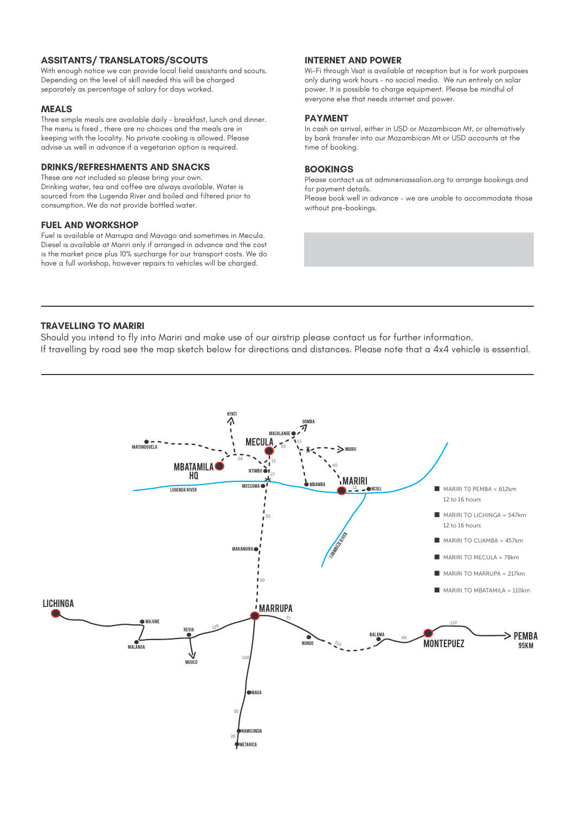#### **ASSITANTS/ TRANSLATORS/SCOUTS**

With enough notice we can provide local field assistants and scouts. Depending on the level of skill needed this will be charged separately as percentage of salary for days worked.

#### **MEALS**

Three simple meals are available daily - breakfast, lunch and dinner. The menu is fixed , there are no choices and the meals are in keeping with the locality. No private cooking is allowed. Please advise us well in advance if a vegetarian option is required.

#### **DRINKS/REFRESHMENTS AND SNACKS**

These are not included so please bring your own. Drinking water, tea and coffee are always available. Water is sourced from the Lugenda River and boiled and filtered prior to consumption. We do not provide bottled water.

#### **FUEL AND WORKSHOP**

Fuel is available at Marrupa and Mavago and sometimes in Mecula. Diesel is available at Mariri only if arranged in advance and the cost is the market price plus 10% surcharge for our transport costs. We do have a full workshop, however repairs to vehicles will be charged.

#### **INTERNET AND POWER**

Wi-Fi through Vsat is available at reception but is for work purposes only during work hours – no social media. We run entirely on solar power. It is possible to charge equipment. Please be mindful of everyone else that needs internet and power.

#### **PAYMENT**

In cash on arrival, either in USD or Mozambican Mt, or alternatively by bank transfer into our Mozambican Mt or USD accounts at the time of booking.

#### **BOOKINGS**

Please contact us at admineniassalion.org to arrange bookings and for payment details.

Please book well in advance – we are unable to accommodate those without pre-bookings.

#### **TRAVELLING TO MARIRI**

Should you intend to fly into Mariri and make use of our airstrip please contact us for further information. If travelling by road see the map sketch below for directions and distances. Please note that a 4x4 vehicle is essential.